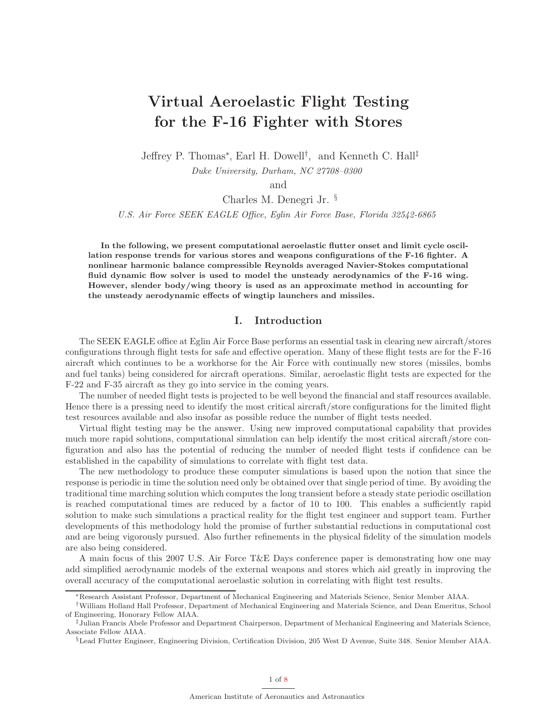# Virtual Aeroelastic Flight Testing for the F-16 Fighter with Stores

Jeffrey P. Thomas<sup>∗</sup> , Earl H. Dowell† , and Kenneth C. Hall‡

Duke University, Durham, NC 27708–0300

and

Charles M. Denegri Jr. §

U.S. Air Force SEEK EAGLE Office, Eglin Air Force Base, Florida 32542-6865

In the following, we present computational aeroelastic flutter onset and limit cycle oscillation response trends for various stores and weapons configurations of the F-16 fighter. A nonlinear harmonic balance compressible Reynolds averaged Navier-Stokes computational fluid dynamic flow solver is used to model the unsteady aerodynamics of the F-16 wing. However, slender body/wing theory is used as an approximate method in accounting for the unsteady aerodynamic effects of wingtip launchers and missiles.

# I. Introduction

The SEEK EAGLE office at Eglin Air Force Base performs an essential task in clearing new aircraft/stores configurations through flight tests for safe and effective operation. Many of these flight tests are for the F-16 aircraft which continues to be a workhorse for the Air Force with continually new stores (missiles, bombs and fuel tanks) being considered for aircraft operations. Similar, aeroelastic flight tests are expected for the F-22 and F-35 aircraft as they go into service in the coming years.

The number of needed flight tests is projected to be well beyond the financial and staff resources available. Hence there is a pressing need to identify the most critical aircraft/store configurations for the limited flight test resources available and also insofar as possible reduce the number of flight tests needed.

Virtual flight testing may be the answer. Using new improved computational capability that provides much more rapid solutions, computational simulation can help identify the most critical aircraft/store configuration and also has the potential of reducing the number of needed flight tests if confidence can be established in the capability of simulations to correlate with flight test data.

The new methodology to produce these computer simulations is based upon the notion that since the response is periodic in time the solution need only be obtained over that single period of time. By avoiding the traditional time marching solution which computes the long transient before a steady state periodic oscillation is reached computational times are reduced by a factor of 10 to 100. This enables a sufficiently rapid solution to make such simulations a practical reality for the flight test engineer and support team. Further developments of this methodology hold the promise of further substantial reductions in computational cost and are being vigorously pursued. Also further refinements in the physical fidelity of the simulation models are also being considered.

A main focus of this 2007 U.S. Air Force T&E Days conference paper is demonstrating how one may add simplified aerodynamic models of the external weapons and stores which aid greatly in improving the overall accuracy of the computational aeroelastic solution in correlating with flight test results.

<sup>∗</sup>Research Assistant Professor, Department of Mechanical Engineering and Materials Science, Senior Member AIAA.

<sup>†</sup>William Holland Hall Professor, Department of Mechanical Engineering and Materials Science, and Dean Emeritus, School of Engineering, Honorary Fellow AIAA.

<sup>‡</sup>Julian Francis Abele Professor and Department Chairperson, Department of Mechanical Engineering and Materials Science, Associate Fellow AIAA.

<sup>§</sup>Lead Flutter Engineer, Engineering Division, Certification Division, 205 West D Avenue, Suite 348. Senior Member AIAA.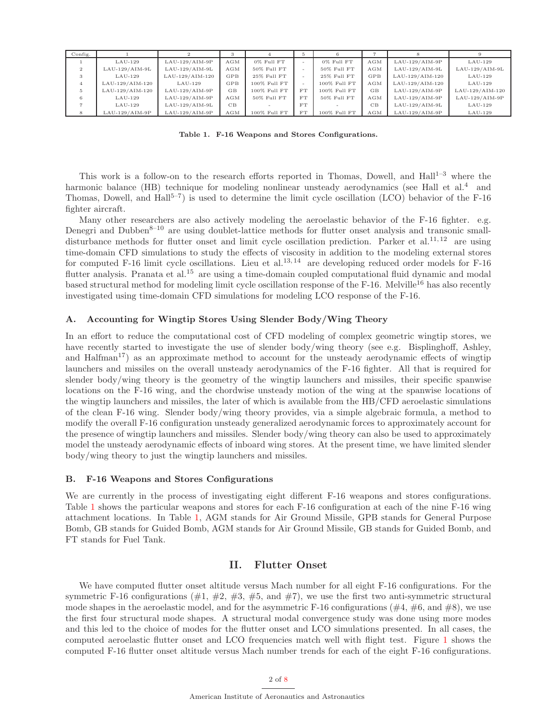| Config.        |                  |                  |           |                | 5         |                |     |                  |                  |
|----------------|------------------|------------------|-----------|----------------|-----------|----------------|-----|------------------|------------------|
|                | $LAU-129$        | $LAU-129/AIM-9P$ | AGM       | $0\%$ Full FT  |           | 0% Full FT     | AGM | $LAU-129/AIM-9P$ | $LAU-129$        |
| $\overline{2}$ | $LAU-129/AIM-9L$ | $LAU-129/AIM-9L$ | AGM       | $50\%$ Full FT | $\sim$    | $50\%$ Full FT | AGM | $LAU-129/AIM-9L$ | $LAU-129/AIM-9L$ |
|                | $LAU-129$        | LAU-129/AIM-120  | GPB       | $25\%$ Full FT | $\sim$    | 25% Full FT    | GPB | LAU-129/AIM-120  | $LAU-129$        |
|                | LAU-129/AIM-120  | $LAU-129$        | GPB       | 100% Full FT   |           | 100% Full FT   | AGM | LAU-129/AIM-120  | $LAU-129$        |
| .5.            | LAU-129/AIM-120  | $LAU-129/AIM-9P$ | <b>GB</b> | 100% Full FT   | <b>FT</b> | 100% Full FT   | GB  | $LAU-129/AIM-9P$ | LAU-129/AIM-120  |
|                | $LAU-129$        | $LAU-129/AIM-9P$ | AGM       | $50\%$ Full FT | <b>FT</b> | 50% Full FT    | AGM | $LAU-129/AIM-9P$ | $LAU-129/AIM-9P$ |
|                | $LAU-129$        | $LAU-129/AIM-9L$ | CB        |                | FT        |                | CB  | $LAU-129/AIM-9L$ | $LAU-129$        |
|                | $LAU-129/AIM-9P$ | $LAU-129/AIM-9P$ | AGM       | 100% Full FT   | FT        | 100% Full FT   | AGM | $LAU-129/AIM-9P$ | $LAU-129$        |

<span id="page-1-0"></span>Table 1. F-16 Weapons and Stores Configurations.

This work is a follow-on to the research efforts reported in Thomas, Dowell, and  $\text{Hall}^{1-3}$  where the harmonic balance (HB) technique for modeling nonlinear unsteady aerodynamics (see Hall et al.<sup>4</sup> and Thomas, Dowell, and  $\text{Hall}^{5-7}$  is used to determine the limit cycle oscillation (LCO) behavior of the F-16 fighter aircraft.

Many other researchers are also actively modeling the aeroelastic behavior of the F-16 fighter. e.g. Denegri and Dubben<sup>8–10</sup> are using doublet-lattice methods for flutter onset analysis and transonic smalldisturbance methods for flutter onset and limit cycle oscillation prediction. Parker et al.<sup>11, 12</sup> are using time-domain CFD simulations to study the effects of viscosity in addition to the modeling external stores for computed F-16 limit cycle oscillations. Lieu et al.<sup>13, 14</sup> are developing reduced order models for F-16 flutter analysis. Pranata et al.<sup>15</sup> are using a time-domain coupled computational fluid dynamic and modal based structural method for modeling limit cycle oscillation response of the F-16. Melville<sup>16</sup> has also recently investigated using time-domain CFD simulations for modeling LCO response of the F-16.

#### A. Accounting for Wingtip Stores Using Slender Body/Wing Theory

In an effort to reduce the computational cost of CFD modeling of complex geometric wingtip stores, we have recently started to investigate the use of slender body/wing theory (see e.g. Bisplinghoff, Ashley, and Halfman<sup>17</sup>) as an approximate method to account for the unsteady aerodynamic effects of wingtip launchers and missiles on the overall unsteady aerodynamics of the F-16 fighter. All that is required for slender body/wing theory is the geometry of the wingtip launchers and missiles, their specific spanwise locations on the F-16 wing, and the chordwise unsteady motion of the wing at the spanwise locations of the wingtip launchers and missiles, the later of which is available from the HB/CFD aeroelastic simulations of the clean F-16 wing. Slender body/wing theory provides, via a simple algebraic formula, a method to modify the overall F-16 configuration unsteady generalized aerodynamic forces to approximately account for the presence of wingtip launchers and missiles. Slender body/wing theory can also be used to approximately model the unsteady aerodynamic effects of inboard wing stores. At the present time, we have limited slender body/wing theory to just the wingtip launchers and missiles.

#### B. F-16 Weapons and Stores Configurations

We are currently in the process of investigating eight different F-16 weapons and stores configurations. Table [1](#page-1-0) shows the particular weapons and stores for each F-16 configuration at each of the nine F-16 wing attachment locations. In Table [1,](#page-1-0) AGM stands for Air Ground Missile, GPB stands for General Purpose Bomb, GB stands for Guided Bomb, AGM stands for Air Ground Missile, GB stands for Guided Bomb, and FT stands for Fuel Tank.

## II. Flutter Onset

We have computed flutter onset altitude versus Mach number for all eight F-16 configurations. For the symmetric F-16 configurations ( $\#1, \#2, \#3, \#5, \text{ and } \#7$ ), we use the first two anti-symmetric structural mode shapes in the aeroelastic model, and for the asymmetric F-16 configurations ( $\#4, \#6$ , and  $\#8$ ), we use the first four structural mode shapes. A structural modal convergence study was done using more modes and this led to the choice of modes for the flutter onset and LCO simulations presented. In all cases, the computed aeroelastic flutter onset and LCO frequencies match well with flight test. Figure [1](#page-2-0) shows the computed F-16 flutter onset altitude versus Mach number trends for each of the eight F-16 configurations.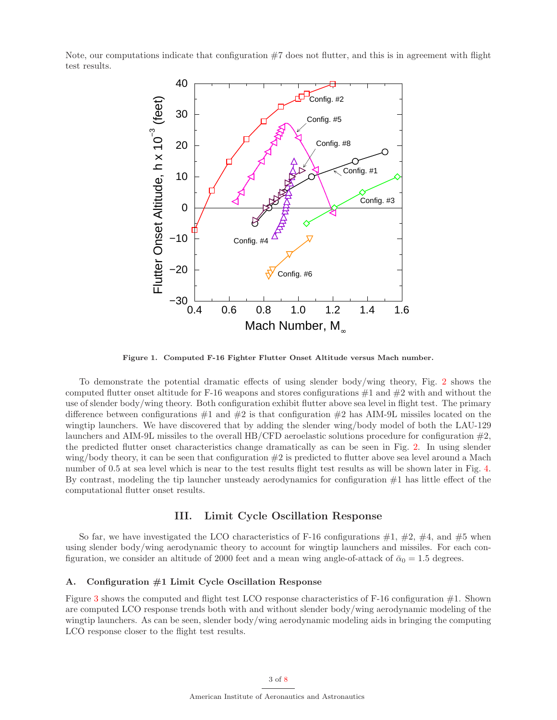Note, our computations indicate that configuration  $#7$  does not flutter, and this is in agreement with flight test results.



<span id="page-2-0"></span>Figure 1. Computed F-16 Fighter Flutter Onset Altitude versus Mach number.

To demonstrate the potential dramatic effects of using slender body/wing theory, Fig. [2](#page-3-0) shows the computed flutter onset altitude for F-16 weapons and stores configurations  $\#1$  and  $\#2$  with and without the use of slender body/wing theory. Both configuration exhibit flutter above sea level in flight test. The primary difference between configurations  $\#1$  and  $\#2$  is that configuration  $\#2$  has AIM-9L missiles located on the wingtip launchers. We have discovered that by adding the slender wing/body model of both the LAU-129 launchers and AIM-9L missiles to the overall HB/CFD aeroelastic solutions procedure for configuration #2, the predicted flutter onset characteristics change dramatically as can be seen in Fig. [2.](#page-3-0) In using slender wing/body theory, it can be seen that configuration #2 is predicted to flutter above sea level around a Mach number of 0.5 at sea level which is near to the test results flight test results as will be shown later in Fig. [4.](#page-4-0) By contrast, modeling the tip launcher unsteady aerodynamics for configuration #1 has little effect of the computational flutter onset results.

## III. Limit Cycle Oscillation Response

So far, we have investigated the LCO characteristics of F-16 configurations  $\#1$ ,  $\#2$ ,  $\#4$ , and  $\#5$  when using slender body/wing aerodynamic theory to account for wingtip launchers and missiles. For each configuration, we consider an altitude of 2000 feet and a mean wing angle-of-attack of  $\bar{\alpha}_0 = 1.5$  degrees.

## A. Configuration #1 Limit Cycle Oscillation Response

Figure [3](#page-3-1) shows the computed and flight test LCO response characteristics of F-16 configuration #1. Shown are computed LCO response trends both with and without slender body/wing aerodynamic modeling of the wingtip launchers. As can be seen, slender body/wing aerodynamic modeling aids in bringing the computing LCO response closer to the flight test results.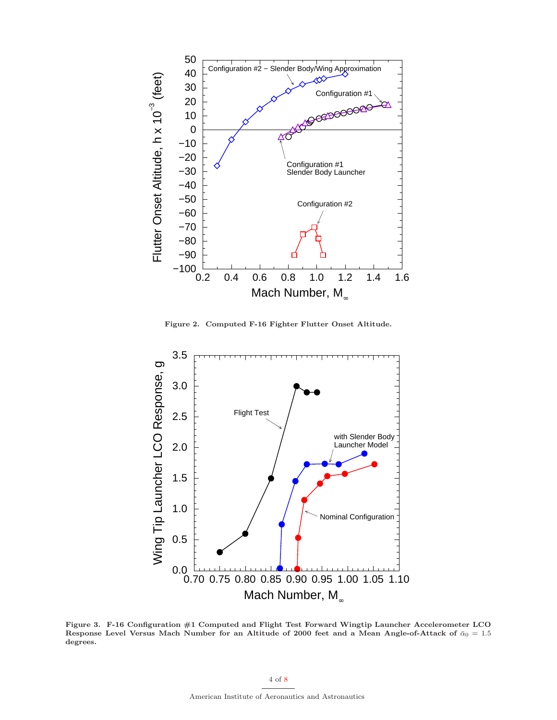

Figure 2. Computed F-16 Fighter Flutter Onset Altitude.

<span id="page-3-0"></span>

<span id="page-3-1"></span>Figure 3. F-16 Configuration #1 Computed and Flight Test Forward Wingtip Launcher Accelerometer LCO Response Level Versus Mach Number for an Altitude of 2000 feet and a Mean Angle-of-Attack of  $\bar{\alpha}_0 = 1.5$ degrees.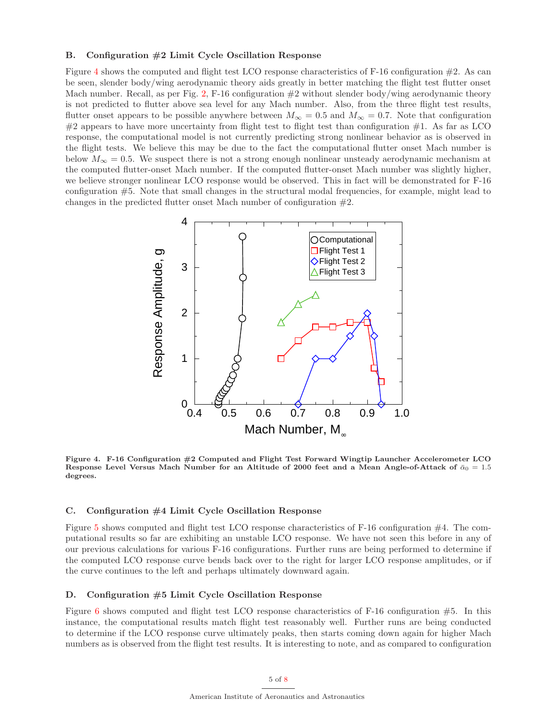#### B. Configuration #2 Limit Cycle Oscillation Response

Figure [4](#page-4-0) shows the computed and flight test LCO response characteristics of F-16 configuration  $#2$ . As can be seen, slender body/wing aerodynamic theory aids greatly in better matching the flight test flutter onset Mach number. Recall, as per Fig. [2,](#page-3-0) F-16 configuration  $\#2$  without slender body/wing aerodynamic theory is not predicted to flutter above sea level for any Mach number. Also, from the three flight test results, flutter onset appears to be possible anywhere between  $M_{\infty} = 0.5$  and  $M_{\infty} = 0.7$ . Note that configuration  $\#2$  appears to have more uncertainty from flight test to flight test than configuration  $\#1$ . As far as LCO response, the computational model is not currently predicting strong nonlinear behavior as is observed in the flight tests. We believe this may be due to the fact the computational flutter onset Mach number is below  $M_{\infty} = 0.5$ . We suspect there is not a strong enough nonlinear unsteady aerodynamic mechanism at the computed flutter-onset Mach number. If the computed flutter-onset Mach number was slightly higher, we believe stronger nonlinear LCO response would be observed. This in fact will be demonstrated for F-16 configuration #5. Note that small changes in the structural modal frequencies, for example, might lead to changes in the predicted flutter onset Mach number of configuration #2.



<span id="page-4-0"></span>Figure 4. F-16 Configuration #2 Computed and Flight Test Forward Wingtip Launcher Accelerometer LCO Response Level Versus Mach Number for an Altitude of 2000 feet and a Mean Angle-of-Attack of  $\bar{\alpha}_0 = 1.5$ degrees.

#### C. Configuration #4 Limit Cycle Oscillation Response

Figure [5](#page-5-0) shows computed and flight test LCO response characteristics of F-16 configuration #4. The computational results so far are exhibiting an unstable LCO response. We have not seen this before in any of our previous calculations for various F-16 configurations. Further runs are being performed to determine if the computed LCO response curve bends back over to the right for larger LCO response amplitudes, or if the curve continues to the left and perhaps ultimately downward again.

#### D. Configuration #5 Limit Cycle Oscillation Response

Figure [6](#page-6-0) shows computed and flight test LCO response characteristics of F-16 configuration  $#5$ . In this instance, the computational results match flight test reasonably well. Further runs are being conducted to determine if the LCO response curve ultimately peaks, then starts coming down again for higher Mach numbers as is observed from the flight test results. It is interesting to note, and as compared to configuration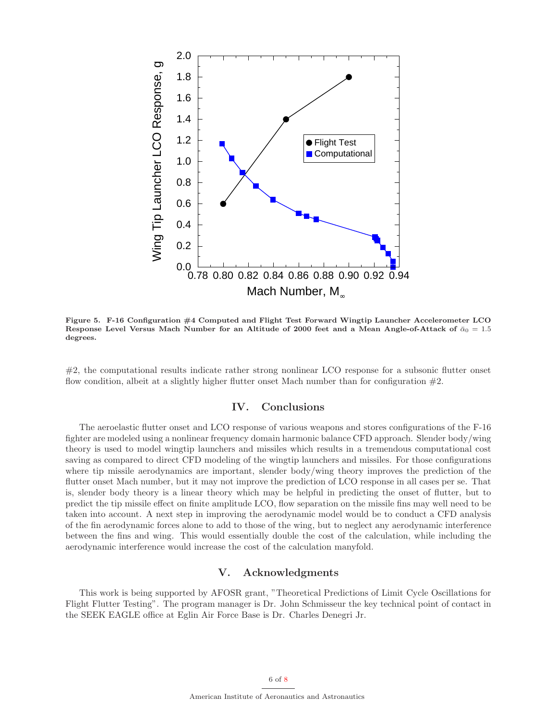

<span id="page-5-0"></span>Figure 5. F-16 Configuration #4 Computed and Flight Test Forward Wingtip Launcher Accelerometer LCO Response Level Versus Mach Number for an Altitude of 2000 feet and a Mean Angle-of-Attack of  $\bar{\alpha}_0 = 1.5$ degrees.

#2, the computational results indicate rather strong nonlinear LCO response for a subsonic flutter onset flow condition, albeit at a slightly higher flutter onset Mach number than for configuration  $#2$ .

## IV. Conclusions

The aeroelastic flutter onset and LCO response of various weapons and stores configurations of the F-16 fighter are modeled using a nonlinear frequency domain harmonic balance CFD approach. Slender body/wing theory is used to model wingtip launchers and missiles which results in a tremendous computational cost saving as compared to direct CFD modeling of the wingtip launchers and missiles. For those configurations where tip missile aerodynamics are important, slender body/wing theory improves the prediction of the flutter onset Mach number, but it may not improve the prediction of LCO response in all cases per se. That is, slender body theory is a linear theory which may be helpful in predicting the onset of flutter, but to predict the tip missile effect on finite amplitude LCO, flow separation on the missile fins may well need to be taken into account. A next step in improving the aerodynamic model would be to conduct a CFD analysis of the fin aerodynamic forces alone to add to those of the wing, but to neglect any aerodynamic interference between the fins and wing. This would essentially double the cost of the calculation, while including the aerodynamic interference would increase the cost of the calculation manyfold.

## V. Acknowledgments

This work is being supported by AFOSR grant, "Theoretical Predictions of Limit Cycle Oscillations for Flight Flutter Testing". The program manager is Dr. John Schmisseur the key technical point of contact in the SEEK EAGLE office at Eglin Air Force Base is Dr. Charles Denegri Jr.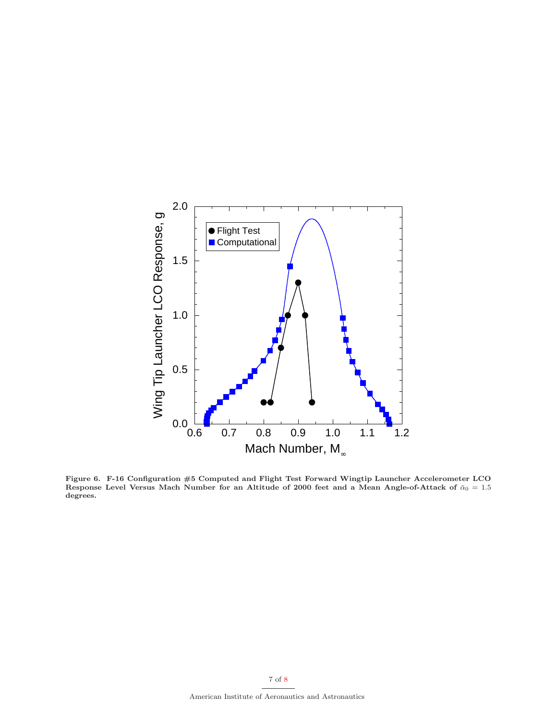

<span id="page-6-0"></span>Figure 6. F-16 Configuration #5 Computed and Flight Test Forward Wingtip Launcher Accelerometer LCO Response Level Versus Mach Number for an Altitude of 2000 feet and a Mean Angle-of-Attack of  $\bar{\alpha}_0 = 1.5$ degrees.